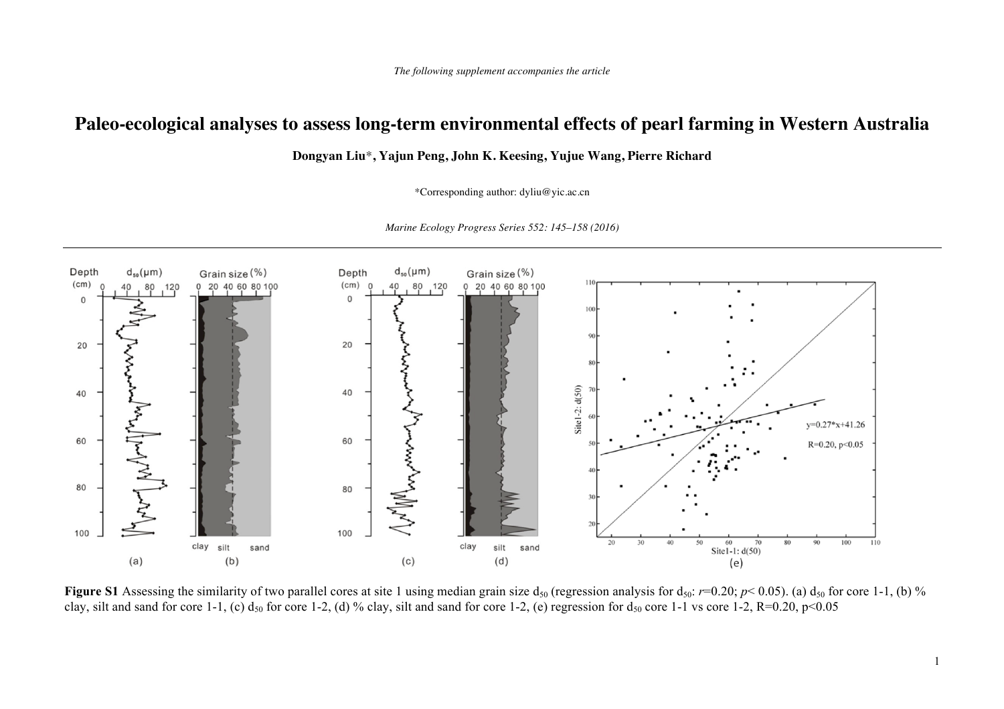## **Paleo-ecological analyses to assess long-term environmental effects of pearl farming in Western Australia**

**Dongyan Liu**\***, Yajun Peng, John K. Keesing, Yujue Wang, Pierre Richard** 

\*Corresponding author: dyliu@yic.ac.cn



*Marine Ecology Progress Series 552: 145–158 (2016)* 

**Figure S1** Assessing the similarity of two parallel cores at site 1 using median grain size  $d_{50}$  (regression analysis for  $d_{50}$ : *r*=0.20; *p*< 0.05). (a)  $d_{50}$  for core 1-1, (b) % clay, silt and sand for core 1-1, (c)  $d_{50}$  for core 1-2, (d) % clay, silt and sand for core 1-2, (e) regression for  $d_{50}$  core 1-1 vs core 1-2, R=0.20, p<0.05